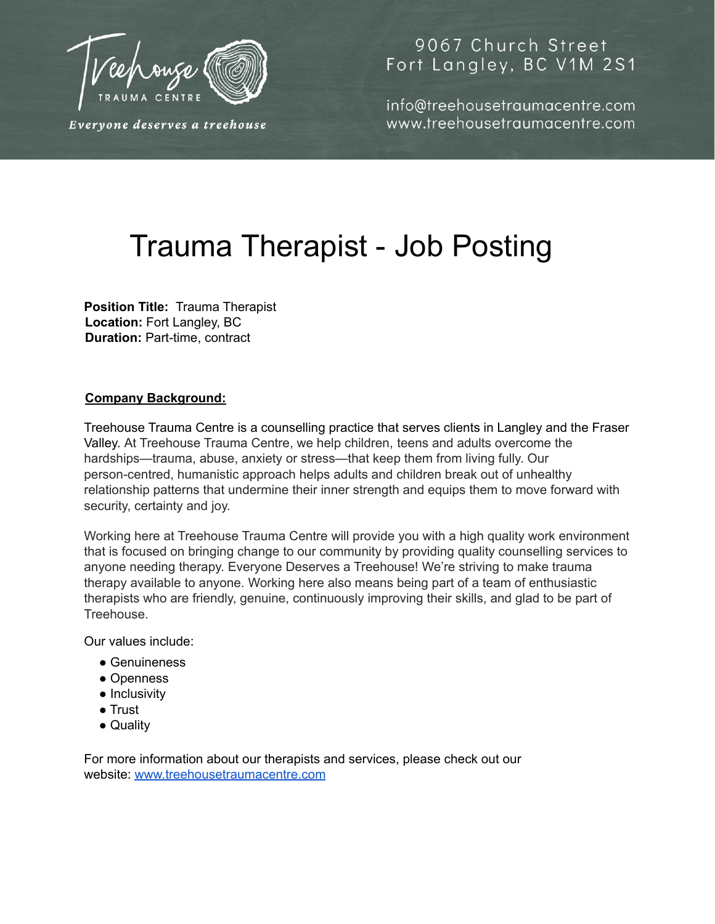

Everyone deserves a treehouse

## 9067 Church Street Fort Langley, BC V1M 2S1

info@treehousetraumacentre.com www.treehousetraumacentre.com

# Trauma Therapist - Job Posting

**Position Title:** Trauma Therapist **Location:** Fort Langley, BC **Duration:** Part-time, contract

### **Company Background:**

Treehouse Trauma Centre is a counselling practice that serves clients in Langley and the Fraser Valley. At Treehouse Trauma Centre, we help children, teens and adults overcome the hardships—trauma, abuse, anxiety or stress—that keep them from living fully. Our person-centred, humanistic approach helps adults and children break out of unhealthy relationship patterns that undermine their inner strength and equips them to move forward with security, certainty and joy.

Working here at Treehouse Trauma Centre will provide you with a high quality work environment that is focused on bringing change to our community by providing quality counselling services to anyone needing therapy. Everyone Deserves a Treehouse! We're striving to make trauma therapy available to anyone. Working here also means being part of a team of enthusiastic therapists who are friendly, genuine, continuously improving their skills, and glad to be part of Treehouse.

Our values include:

- Genuineness
- Openness
- Inclusivity
- Trust
- Quality

For more information about our therapists and services, please check out our website: www.treehousetraumacentre.com